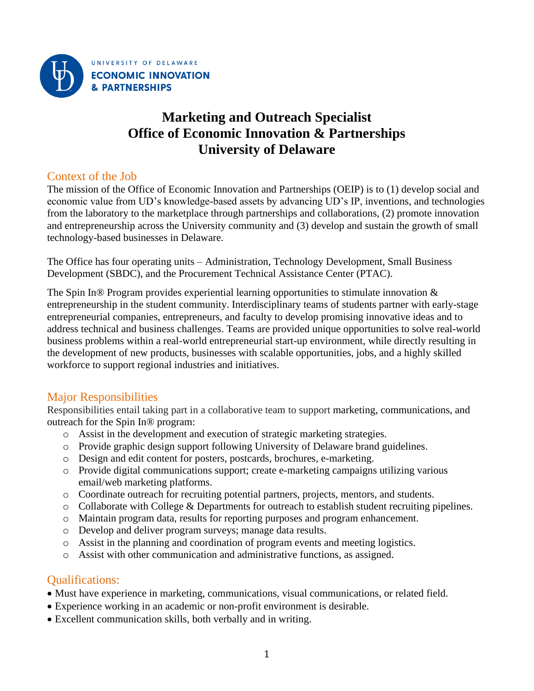

# **Marketing and Outreach Specialist Office of Economic Innovation & Partnerships University of Delaware**

### Context of the Job

The mission of the Office of Economic Innovation and Partnerships (OEIP) is to (1) develop social and economic value from UD's knowledge-based assets by advancing UD's IP, inventions, and technologies from the laboratory to the marketplace through partnerships and collaborations, (2) promote innovation and entrepreneurship across the University community and (3) develop and sustain the growth of small technology-based businesses in Delaware.

The Office has four operating units – Administration, Technology Development, Small Business Development (SBDC), and the Procurement Technical Assistance Center (PTAC).

The Spin In<sup>®</sup> Program provides experiential learning opportunities to stimulate innovation  $\&$ entrepreneurship in the student community. Interdisciplinary teams of students partner with early-stage entrepreneurial companies, entrepreneurs, and faculty to develop promising innovative ideas and to address technical and business challenges. Teams are provided unique opportunities to solve real-world business problems within a real-world entrepreneurial start-up environment, while directly resulting in the development of new products, businesses with scalable opportunities, jobs, and a highly skilled workforce to support regional industries and initiatives.

### Major Responsibilities

Responsibilities entail taking part in a collaborative team to support marketing, communications, and outreach for the Spin In® program:

- o Assist in the development and execution of strategic marketing strategies.
- o Provide graphic design support following University of Delaware brand guidelines.
- o Design and edit content for posters, postcards, brochures, e-marketing.
- o Provide digital communications support; create e-marketing campaigns utilizing various email/web marketing platforms.
- o Coordinate outreach for recruiting potential partners, projects, mentors, and students.
- $\circ$  Collaborate with College & Departments for outreach to establish student recruiting pipelines.
- o Maintain program data, results for reporting purposes and program enhancement.
- o Develop and deliver program surveys; manage data results.
- o Assist in the planning and coordination of program events and meeting logistics.
- o Assist with other communication and administrative functions, as assigned.

## Qualifications:

- Must have experience in marketing, communications, visual communications, or related field.
- Experience working in an academic or non-profit environment is desirable.
- Excellent communication skills, both verbally and in writing.